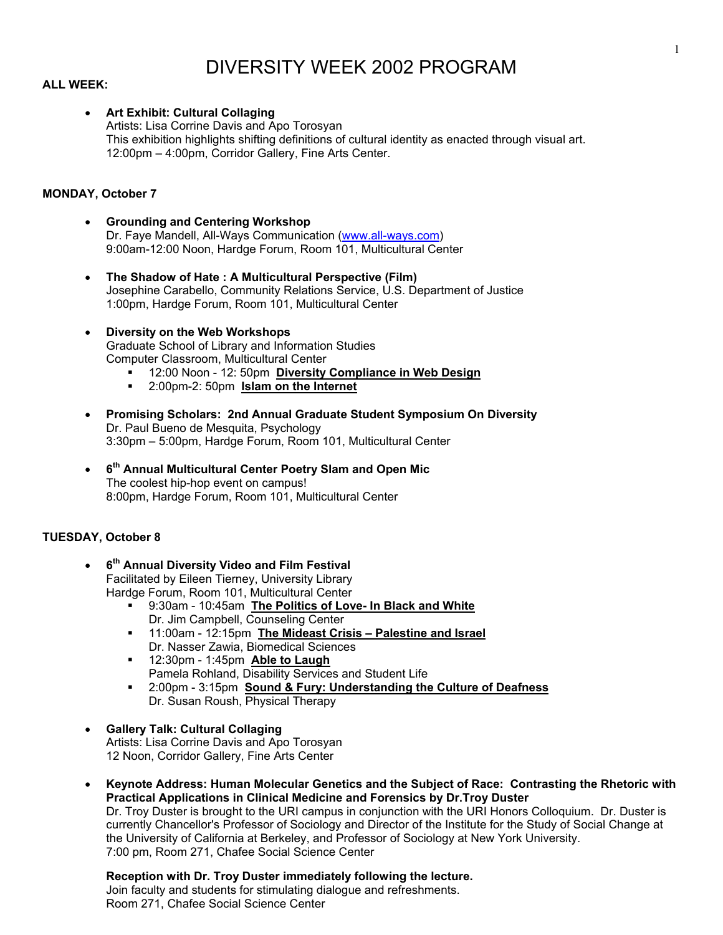# DIVERSITY WEEK 2002 PROGRAM

# **ALL WEEK:**

#### • **Art Exhibit: Cultural Collaging**

Artists: Lisa Corrine Davis and Apo Torosyan This exhibition highlights shifting definitions of cultural identity as enacted through visual art. 12:00pm – 4:00pm, Corridor Gallery, Fine Arts Center.

# **MONDAY, October 7**

- **Grounding and Centering Workshop**  Dr. Faye Mandell, All-Ways Communication ([www.all-ways.com](http://www.all-ways.com/)) 9:00am-12:00 Noon, Hardge Forum, Room 101, Multicultural Center
- **The Shadow of Hate : A Multicultural Perspective (Film)** Josephine Carabello, Community Relations Service, U.S. Department of Justice 1:00pm, Hardge Forum, Room 101, Multicultural Center
- **Diversity on the Web Workshops**  Graduate School of Library and Information Studies Computer Classroom, Multicultural Center
	- 12:00 Noon 12: 50pm **Diversity Compliance in Web Design**
	- 2:00pm-2: 50pm **Islam on the Internet**
- **Promising Scholars: 2nd Annual Graduate Student Symposium On Diversity**  Dr. Paul Bueno de Mesquita, Psychology 3:30pm – 5:00pm, Hardge Forum, Room 101, Multicultural Center
- **6th Annual Multicultural Center Poetry Slam and Open Mic**  The coolest hip-hop event on campus! 8:00pm, Hardge Forum, Room 101, Multicultural Center

#### **TUESDAY, October 8**

- **6th Annual Diversity Video and Film Festival**  Facilitated by Eileen Tierney, University Library Hardge Forum, Room 101, Multicultural Center
	- 9:30am 10:45am **The Politics of Love- In Black and White** Dr. Jim Campbell, Counseling Center
	- 11:00am 12:15pm **The Mideast Crisis Palestine and Israel** Dr. Nasser Zawia, Biomedical Sciences
	- 12:30pm 1:45pm **Able to Laugh** Pamela Rohland, Disability Services and Student Life
	- 2:00pm 3:15pm **Sound & Fury: Understanding the Culture of Deafness** Dr. Susan Roush, Physical Therapy
- **Gallery Talk: Cultural Collaging**  Artists: Lisa Corrine Davis and Apo Torosyan 12 Noon, Corridor Gallery, Fine Arts Center
- **Keynote Address: Human Molecular Genetics and the Subject of Race: Contrasting the Rhetoric with Practical Applications in Clinical Medicine and Forensics by Dr.Troy Duster**

Dr. Troy Duster is brought to the URI campus in conjunction with the URI Honors Colloquium. Dr. Duster is currently Chancellor's Professor of Sociology and Director of the Institute for the Study of Social Change at the University of California at Berkeley, and Professor of Sociology at New York University. 7:00 pm, Room 271, Chafee Social Science Center

#### **Reception with Dr. Troy Duster immediately following the lecture.**  Join faculty and students for stimulating dialogue and refreshments.

Room 271, Chafee Social Science Center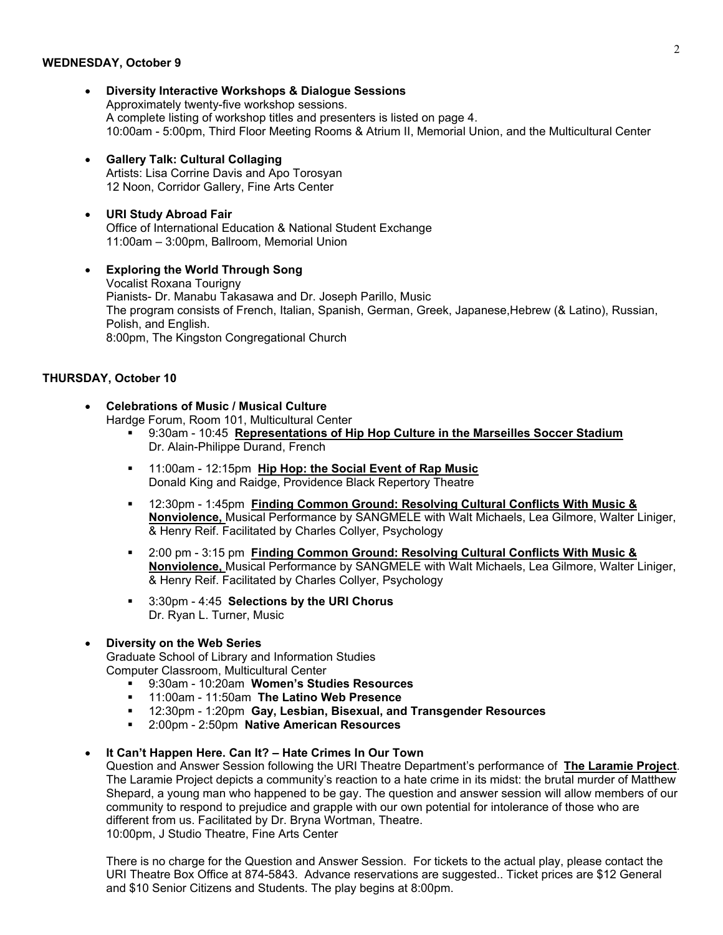#### **WEDNESDAY, October 9**

- **Diversity Interactive Workshops & Dialogue Sessions**  Approximately twenty-five workshop sessions. A complete listing of workshop titles and presenters is listed on page 4. 10:00am - 5:00pm, Third Floor Meeting Rooms & Atrium II, Memorial Union, and the Multicultural Center
- **Gallery Talk: Cultural Collaging**  Artists: Lisa Corrine Davis and Apo Torosyan 12 Noon, Corridor Gallery, Fine Arts Center
- **URI Study Abroad Fair**  Office of International Education & National Student Exchange 11:00am – 3:00pm, Ballroom, Memorial Union
- **Exploring the World Through Song** Vocalist Roxana Tourigny Pianists- Dr. Manabu Takasawa and Dr. Joseph Parillo, Music The program consists of French, Italian, Spanish, German, Greek, Japanese,Hebrew (& Latino), Russian, Polish, and English. 8:00pm, The Kingston Congregational Church

# **THURSDAY, October 10**

• **Celebrations of Music / Musical Culture** 

Hardge Forum, Room 101, Multicultural Center

- 9:30am 10:45 **Representations of Hip Hop Culture in the Marseilles Soccer Stadium** Dr. Alain-Philippe Durand, French
- 11:00am 12:15pm **Hip Hop: the Social Event of Rap Music** Donald King and Raidge, Providence Black Repertory Theatre
- 12:30pm 1:45pm **Finding Common Ground: Resolving Cultural Conflicts With Music & Nonviolence,** Musical Performance by SANGMELE with Walt Michaels, Lea Gilmore, Walter Liniger, & Henry Reif. Facilitated by Charles Collyer, Psychology
- 2:00 pm 3:15 pm **Finding Common Ground: Resolving Cultural Conflicts With Music & Nonviolence,** Musical Performance by SANGMELE with Walt Michaels, Lea Gilmore, Walter Liniger, & Henry Reif. Facilitated by Charles Collyer, Psychology
- 3:30pm 4:45 **Selections by the URI Chorus**  Dr. Ryan L. Turner, Music

# • **Diversity on the Web Series**

Graduate School of Library and Information Studies Computer Classroom, Multicultural Center

- 9:30am 10:20am **Women's Studies Resources**
- 11:00am 11:50am **The Latino Web Presence**
- 12:30pm 1:20pm **Gay, Lesbian, Bisexual, and Transgender Resources**
- 2:00pm 2:50pm **Native American Resources**

# • **It Can't Happen Here. Can It? – Hate Crimes In Our Town**

Question and Answer Session following the URI Theatre Department's performance of **The Laramie Project**. The Laramie Project depicts a community's reaction to a hate crime in its midst: the brutal murder of Matthew Shepard, a young man who happened to be gay. The question and answer session will allow members of our community to respond to prejudice and grapple with our own potential for intolerance of those who are different from us. Facilitated by Dr. Bryna Wortman, Theatre. 10:00pm, J Studio Theatre, Fine Arts Center

There is no charge for the Question and Answer Session. For tickets to the actual play, please contact the URI Theatre Box Office at 874-5843. Advance reservations are suggested.. Ticket prices are \$12 General and \$10 Senior Citizens and Students. The play begins at 8:00pm.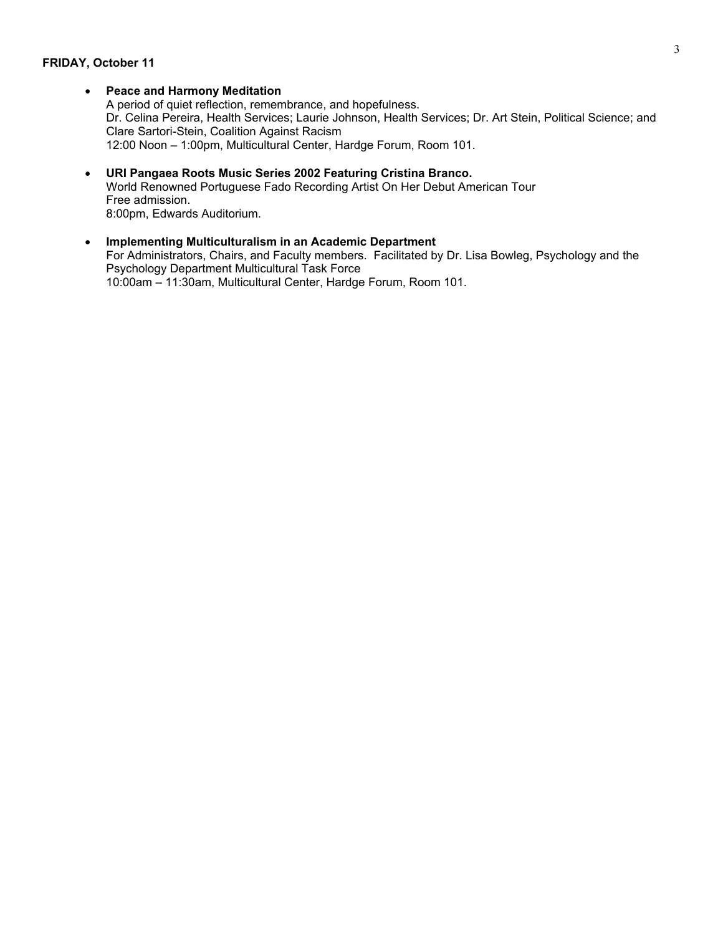#### **FRIDAY, October 11**

# • **Peace and Harmony Meditation**

A period of quiet reflection, remembrance, and hopefulness. Dr. Celina Pereira, Health Services; Laurie Johnson, Health Services; Dr. Art Stein, Political Science; and Clare Sartori-Stein, Coalition Against Racism 12:00 Noon – 1:00pm, Multicultural Center, Hardge Forum, Room 101.

- **URI Pangaea Roots Music Series 2002 Featuring Cristina Branco.**  World Renowned Portuguese Fado Recording Artist On Her Debut American Tour Free admission. 8:00pm, Edwards Auditorium.
- **Implementing Multiculturalism in an Academic Department**  For Administrators, Chairs, and Faculty members. Facilitated by Dr. Lisa Bowleg, Psychology and the Psychology Department Multicultural Task Force 10:00am – 11:30am, Multicultural Center, Hardge Forum, Room 101.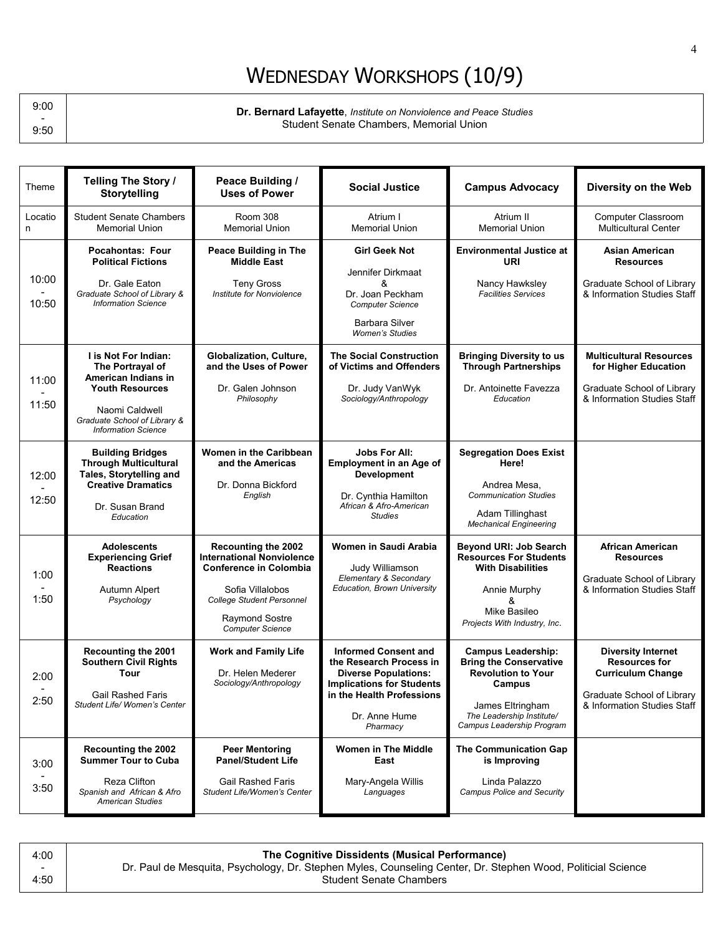# WEDNESDAY WORKSHOPS (10/9)

9:00 - 9:50

**Dr. Bernard Lafayette**, *Institute on Nonviolence and Peace Studies* Student Senate Chambers, Memorial Union

| Locatio<br>n<br>10:00<br>10:50<br>11:00<br>11:50<br>12:00<br>12:50 | <b>Student Senate Chambers</b><br><b>Memorial Union</b>                                                                                                                                                                           |                                                                                                                                                                                                      |                                                                                                                                                                                                                                                              |                                                                                                                                                                                                                                                                                | Diversity on the Web                                                                                                                       |
|--------------------------------------------------------------------|-----------------------------------------------------------------------------------------------------------------------------------------------------------------------------------------------------------------------------------|------------------------------------------------------------------------------------------------------------------------------------------------------------------------------------------------------|--------------------------------------------------------------------------------------------------------------------------------------------------------------------------------------------------------------------------------------------------------------|--------------------------------------------------------------------------------------------------------------------------------------------------------------------------------------------------------------------------------------------------------------------------------|--------------------------------------------------------------------------------------------------------------------------------------------|
|                                                                    |                                                                                                                                                                                                                                   | Room 308<br><b>Memorial Union</b>                                                                                                                                                                    | Atrium I<br><b>Memorial Union</b>                                                                                                                                                                                                                            | Atrium II<br><b>Memorial Union</b>                                                                                                                                                                                                                                             | Computer Classroom<br><b>Multicultural Center</b>                                                                                          |
|                                                                    | <b>Pocahontas: Four</b><br><b>Political Fictions</b><br>Dr. Gale Eaton<br>Graduate School of Library &<br><b>Information Science</b>                                                                                              | Peace Building in The<br><b>Middle East</b><br><b>Teny Gross</b><br>Institute for Nonviolence                                                                                                        | <b>Girl Geek Not</b><br>Jennifer Dirkmaat<br>&<br>Dr. Joan Peckham<br><b>Computer Science</b><br>Barbara Silver<br><b>Women's Studies</b>                                                                                                                    | <b>Environmental Justice at</b><br>URI<br>Nancy Hawksley<br><b>Facilities Services</b>                                                                                                                                                                                         | <b>Asian American</b><br><b>Resources</b><br>Graduate School of Library<br>& Information Studies Staff                                     |
|                                                                    | I is Not For Indian:<br>The Portrayal of<br>American Indians in<br><b>Youth Resources</b><br>Naomi Caldwell<br>Graduate School of Library &<br><b>Information Science</b>                                                         | Globalization, Culture,<br>and the Uses of Power<br>Dr. Galen Johnson<br>Philosophy                                                                                                                  | <b>The Social Construction</b><br>of Victims and Offenders<br>Dr. Judy VanWyk<br>Sociology/Anthropology                                                                                                                                                      | <b>Bringing Diversity to us</b><br><b>Through Partnerships</b><br>Dr. Antoinette Favezza<br>Education                                                                                                                                                                          | <b>Multicultural Resources</b><br>for Higher Education<br>Graduate School of Library<br>& Information Studies Staff                        |
|                                                                    | <b>Building Bridges</b><br><b>Through Multicultural</b><br>Tales, Storytelling and<br><b>Creative Dramatics</b><br>Dr. Susan Brand<br>Education                                                                                   | <b>Women in the Caribbean</b><br>and the Americas<br>Dr. Donna Bickford<br>English                                                                                                                   | <b>Jobs For All:</b><br><b>Employment in an Age of</b><br><b>Development</b><br>Dr. Cynthia Hamilton<br>African & Afro-American<br><b>Studies</b>                                                                                                            | <b>Segregation Does Exist</b><br>Here!<br>Andrea Mesa,<br><b>Communication Studies</b><br>Adam Tillinghast<br><b>Mechanical Engineering</b>                                                                                                                                    |                                                                                                                                            |
| 1:00<br>1:50                                                       | Adolescents<br><b>Experiencing Grief</b><br><b>Reactions</b><br>Autumn Alpert<br>Psychology                                                                                                                                       | Recounting the 2002<br><b>International Nonviolence</b><br><b>Conference in Colombia</b><br>Sofia Villalobos<br><b>College Student Personnel</b><br><b>Raymond Sostre</b><br><b>Computer Science</b> | Women in Saudi Arabia<br>Judy Williamson<br>Elementary & Secondary<br>Education, Brown University                                                                                                                                                            | <b>Beyond URI: Job Search</b><br><b>Resources For Students</b><br><b>With Disabilities</b><br>Annie Murphy<br>&<br>Mike Basileo<br>Projects With Industry, Inc.                                                                                                                | African American<br><b>Resources</b><br>Graduate School of Library<br>& Information Studies Staff                                          |
| 2:00<br>2:50<br>3:00<br>3:50                                       | Recounting the 2001<br><b>Southern Civil Rights</b><br>Tour<br><b>Gail Rashed Faris</b><br>Student Life/ Women's Center<br><b>Recounting the 2002</b><br><b>Summer Tour to Cuba</b><br>Reza Clifton<br>Spanish and African & Afro | <b>Work and Family Life</b><br>Dr. Helen Mederer<br>Sociology/Anthropology<br><b>Peer Mentoring</b><br><b>Panel/Student Life</b><br><b>Gail Rashed Faris</b><br>Student Life/Women's Center          | <b>Informed Consent and</b><br>the Research Process in<br><b>Diverse Populations:</b><br><b>Implications for Students</b><br>in the Health Professions<br>Dr. Anne Hume<br>Pharmacy<br><b>Women in The Middle</b><br>East<br>Mary-Angela Willis<br>Languages | <b>Campus Leadership:</b><br><b>Bring the Conservative</b><br><b>Revolution to Your</b><br>Campus<br>James Eltringham<br>The Leadership Institute/<br>Campus Leadership Program<br>The Communication Gap<br>is Improving<br>Linda Palazzo<br><b>Campus Police and Security</b> | <b>Diversity Internet</b><br><b>Resources for</b><br><b>Curriculum Change</b><br>Graduate School of Library<br>& Information Studies Staff |

| 4:00   | The Cognitive Dissidents (Musical Performance)                                                               |
|--------|--------------------------------------------------------------------------------------------------------------|
| $\sim$ | Dr. Paul de Mesquita, Psychology, Dr. Stephen Myles, Counseling Center, Dr. Stephen Wood, Politicial Science |
| 4:50   | <b>Student Senate Chambers</b>                                                                               |